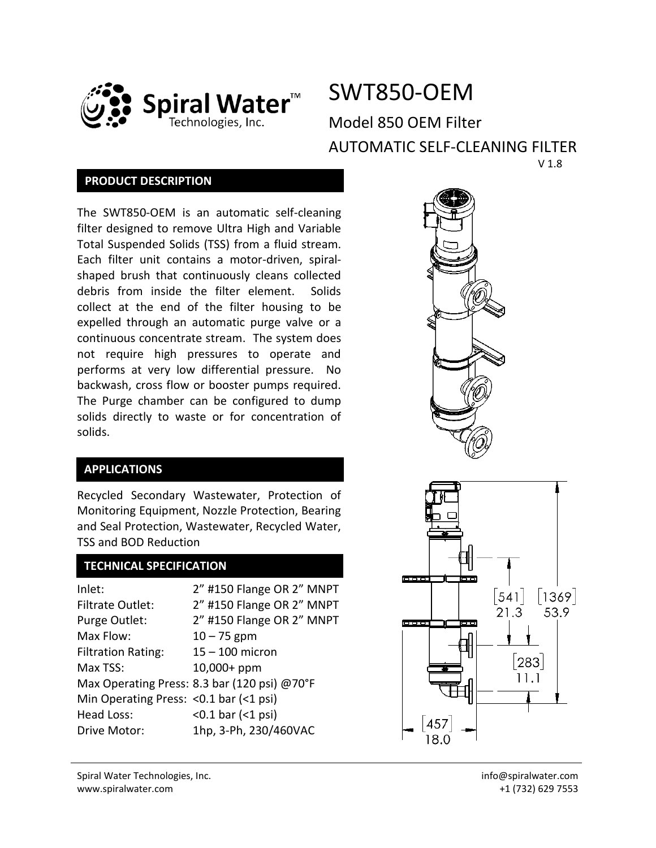

# SWT850-OEM

Model 850 OEM Filter AUTOMATIC SELF-CLEANING FILTER V 1.8

## **PRODUCT DESCRIPTION**

The SWT850-OEM is an automatic self-cleaning filter designed to remove Ultra High and Variable Total Suspended Solids (TSS) from a fluid stream. Each filter unit contains a motor-driven, spiralshaped brush that continuously cleans collected debris from inside the filter element. Solids collect at the end of the filter housing to be expelled through an automatic purge valve or a continuous concentrate stream. The system does not require high pressures to operate and performs at very low differential pressure. No backwash, cross flow or booster pumps required. The Purge chamber can be configured to dump solids directly to waste or for concentration of solids.

## **APPLICATIONS**

Recycled Secondary Wastewater, Protection of Monitoring Equipment, Nozzle Protection, Bearing and Seal Protection, Wastewater, Recycled Water, TSS and BOD Reduction

## **TECHNICAL SPECIFICATION**

| Inlet:                                   | 2" #150 Flange OR 2" MNPT                    |  |
|------------------------------------------|----------------------------------------------|--|
| <b>Filtrate Outlet:</b>                  | 2" #150 Flange OR 2" MNPT                    |  |
| Purge Outlet:                            | 2" #150 Flange OR 2" MNPT                    |  |
| Max Flow:                                | $10 - 75$ gpm                                |  |
| <b>Filtration Rating:</b>                | $15 - 100$ micron                            |  |
| Max TSS:                                 | 10,000+ ppm                                  |  |
|                                          | Max Operating Press: 8.3 bar (120 psi) @70°F |  |
| Min Operating Press: < 0.1 bar (< 1 psi) |                                              |  |
| Head Loss:                               | $< 0.1$ bar $(< 1$ psi)                      |  |
| Drive Motor:                             | 1hp, 3-Ph, 230/460VAC                        |  |

Spiral Water Technologies, Inc. www.spiralwater.com